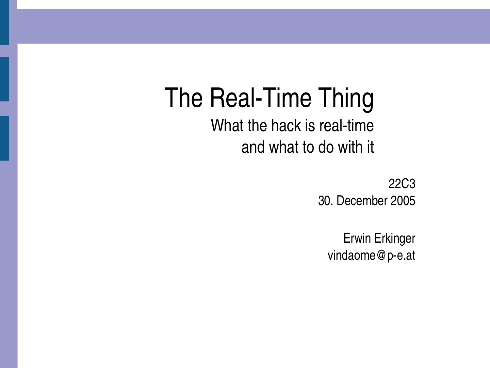# The Real-Time Thing

What the hack is real-time and what to do with it

> 22C3 30. December 2005

Erwin Erkinger vindaome@p-e.at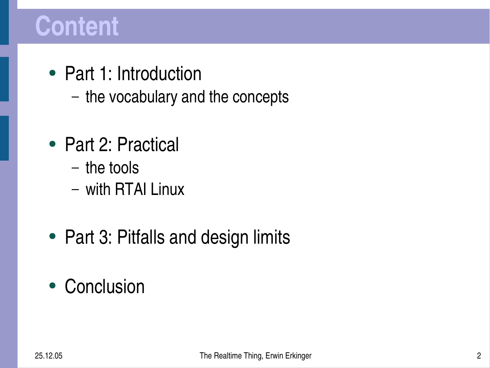#### **Content**

- Part 1: Introduction
	- the vocabulary and the concepts
- Part 2: Practical
	- the tools
	- with RTAI Linux
- Part 3: Pitfalls and design limits
- Conclusion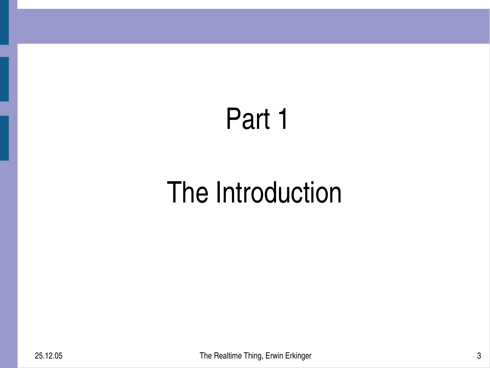## Part 1

## The Introduction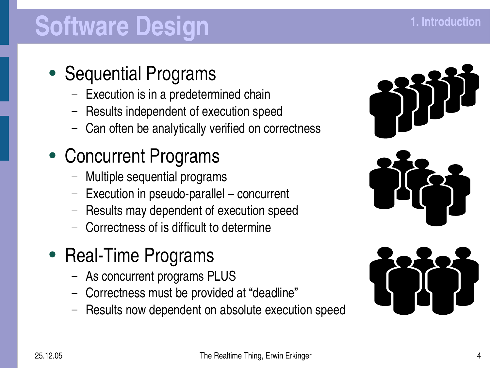## **Software Design**

#### • Sequential Programs

- Execution is in a predetermined chain
- Results independent of execution speed
- Can often be analytically verified on correctness

#### • Concurrent Programs

- Multiple sequential programs
- $-$  Execution in pseudo-parallel concurrent
- Results may dependent of execution speed
- Correctness of is difficult to determine
- Real-Time Programs
	- As concurrent programs PLUS
	- Correctness must be provided at "deadline"
	- Results now dependent on absolute execution speed



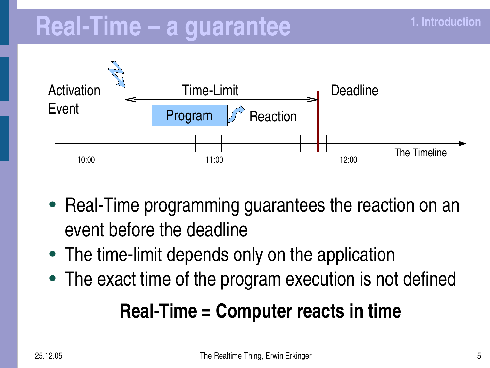#### **RealTime – a guarantee**



- Real-Time programming guarantees the reaction on an event before the deadline
- The time-limit depends only on the application
- The exact time of the program execution is not defined

#### **RealTime = Computer reacts in time**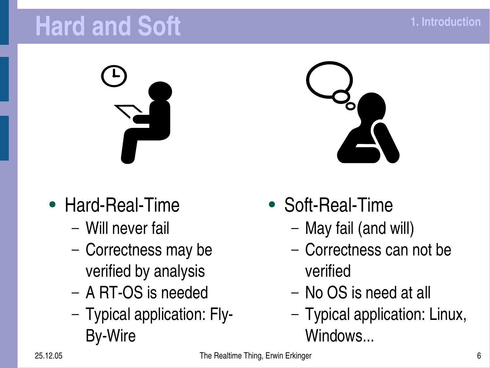#### **Hard and Soft**

- $\bullet$  Hard-Real-Time
	- Will never fail
	- Correctness may be verified by analysis
	- A RT-OS is needed
	- Typical application: Fly-**By-Wire**



- Soft-Real-Time
	- May fail (and will)
	- Correctness can not be verified
	- No OS is need at all
	- Typical application: Linux, Windows...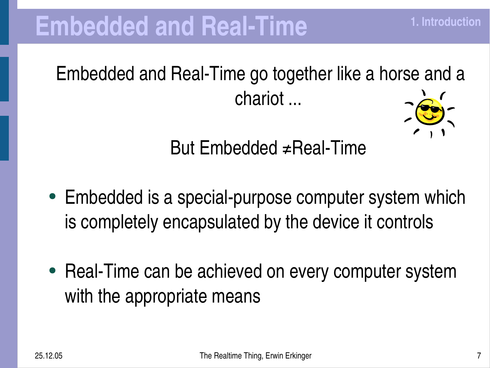Embedded and Real-Time go together like a horse and a chariot ...



**1. Introduction**

But Embedded  $\neq$ Real-Time

- Embedded is a special-purpose computer system which is completely encapsulated by the device it controls
- Real-Time can be achieved on every computer system with the appropriate means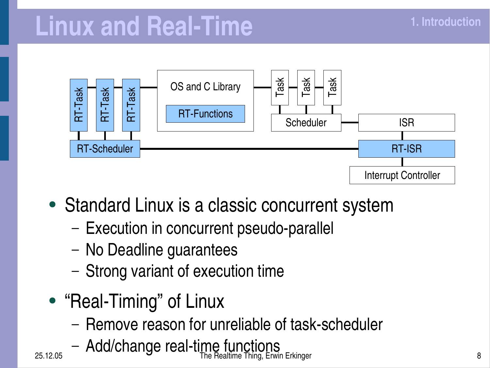#### **Linux** and Real-Time



- Standard Linux is a classic concurrent system
	- Execution in concurrent pseudo-parallel
	- No Deadline guarantees
	- Strong variant of execution time
- "Real-Timing" of Linux
	- Remove reason for unreliable of task-scheduler
- 25.12.05 **Subset Constructed Construction Construction The Realtime Thing, Erwin Erkinger 8 and 20 and 20 and 3** – Add/change real-time functions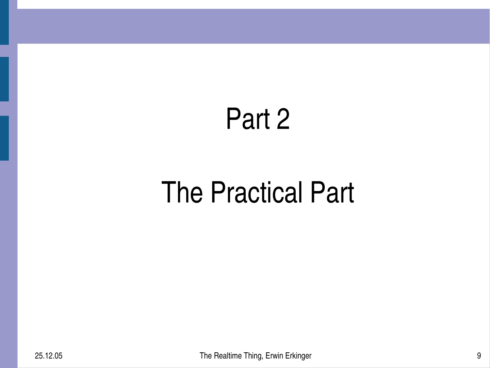#### Part 2

## The Practical Part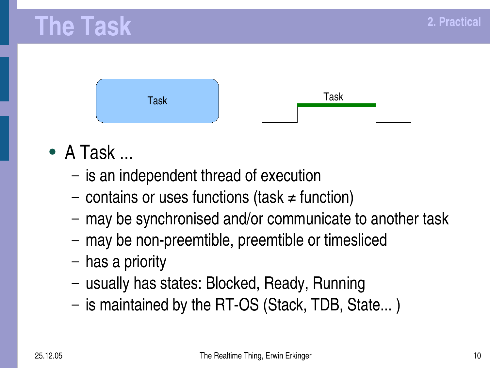#### **The Task**



- $\bullet$  A Task ...
	- is an independent thread of execution
	- contains or uses functions (task ≠ function)
	- may be synchronised and/or communicate to another task
	- may be non-preemtible, preemtible or timesliced
	- has a priority
	- usually has states: Blocked, Ready, Running
	- is maintained by the RT-OS (Stack, TDB, State...)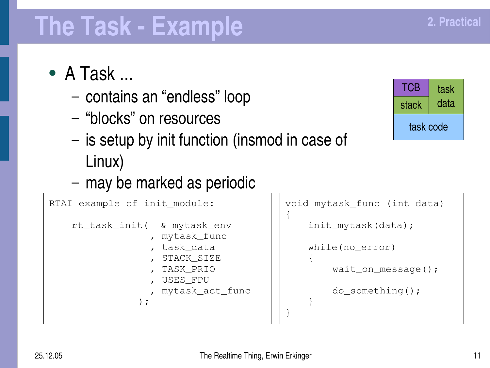task

data

stack

**TCB** 

task code

#### **The Task Example**

- $\bullet$  A Task ...
	- contains an "endless" loop
	- "blocks" on resources
	- is setup by init function (insmod in case of Linux)
	- may be marked as periodic

```
RTAI example of init_module:
    rt_task_init( & mytask_env
                    , mytask_func
                  , task_data
                  , STACK_SIZE
                  , TASK_PRIO
                    , USES_FPU
                    , mytask_act_func
                );
```

```
void mytask_func (int data)
{
    init_mytask(data);
    while(no_error)
    {
        wait_on_message();
        do_something();
    }
}
```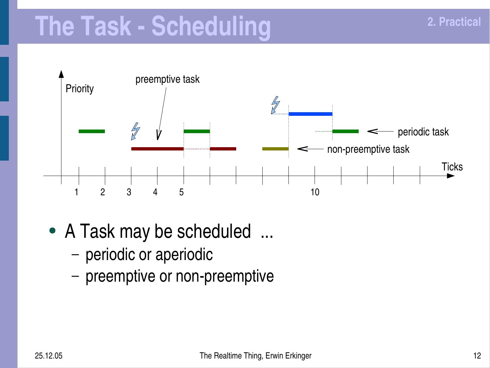#### **The Task Scheduling**



- A Task may be scheduled ...
	- periodic or aperiodic
	- preemptive or non-preemptive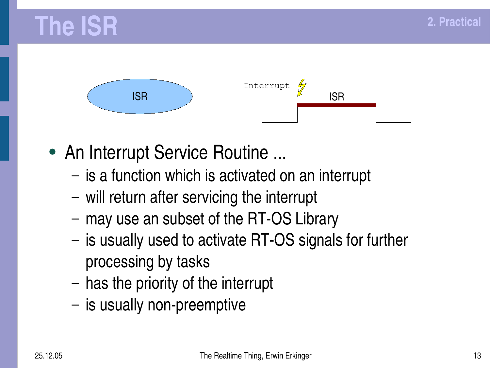



- An Interrupt Service Routine ...
	- is a function which is activated on an interrupt
	- will return after servicing the interrupt
	- may use an subset of the RT-OS Library
	- is usually used to activate RT-OS signals for further processing by tasks
	- has the priority of the interrupt
	- $-$  is usually non-preemptive

**2. Practical**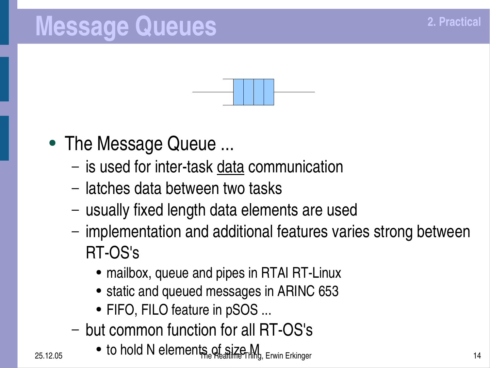#### **Message Queues**



- The Message Queue ...
	- is used for inter-task data communication
	- latches data between two tasks
	- usually fixed length data elements are used
	- implementation and additional features varies strong between RT-OS's
		- mailbox, queue and pipes in RTAI RT-Linux
		- static and queued messages in ARINC 653
		- FIFO, FILO feature in pSOS ...
	- but common function for all RT-OS's
- $25.12.05$   $\bullet$  to hold N elements of size M<sub>14</sub> Erwin Erkinger 14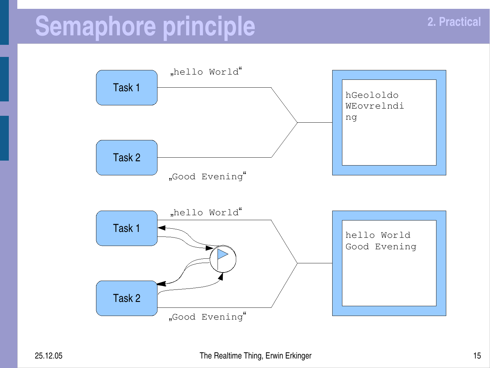#### **Semaphore principle**

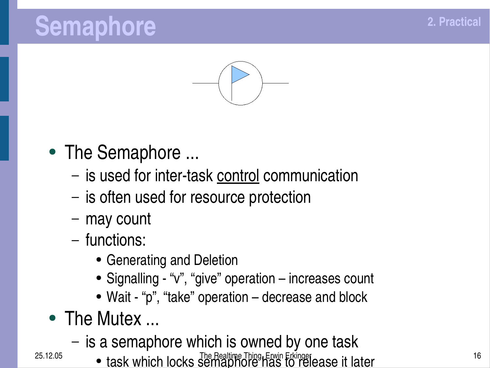#### **Semaphore**



- The Semaphore ...
	- is used for inter-task control communication
	- is often used for resource protection
	- may count
	- functions:
		- Generating and Deletion
		- Signalling "v", "give" operation increases count
		- Wait "p" , "take" operation decrease and block
- The Mutex ...
	- is a semaphore which is owned by one task
- 25.12.05 task which locks semaphore has to release it later **16**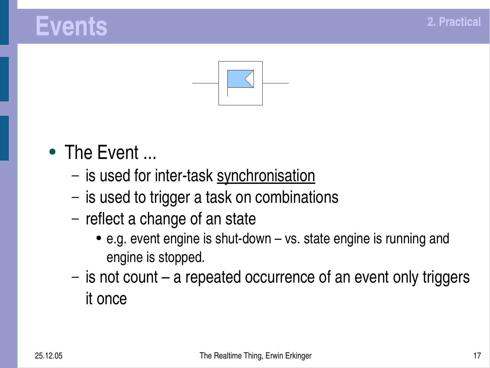#### **Events**



- The Event ...
	- is used for inter-task synchronisation
	- is used to trigger a task on combinations
	- reflect a change of an state
		- $\bullet$  e.g. event engine is shut-down  $-$  vs. state engine is running and engine is stopped.
	- is not count a repeated occurrence of an event only triggers it once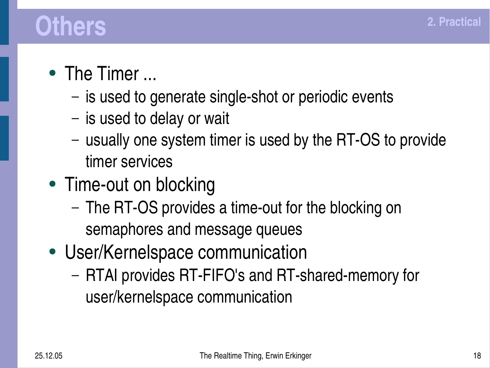#### **Others**

- The Timer ...
	- $-$  is used to generate single-shot or periodic events
	- is used to delay or wait
	- usually one system timer is used by the RT-OS to provide timer services
- Time-out on blocking
	- The RT-OS provides a time-out for the blocking on semaphores and message queues
- User/Kernelspace communication
	- RTAI provides RT-FIFO's and RT-shared-memory for user/kernelspace communication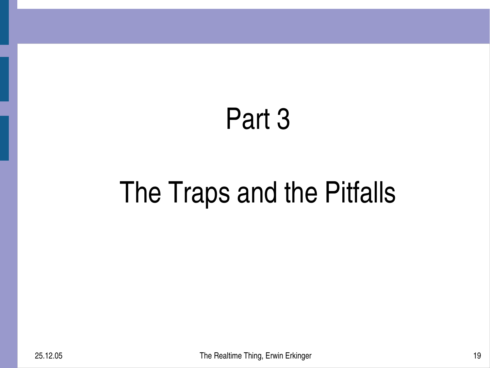#### Part 3

# The Traps and the Pitfalls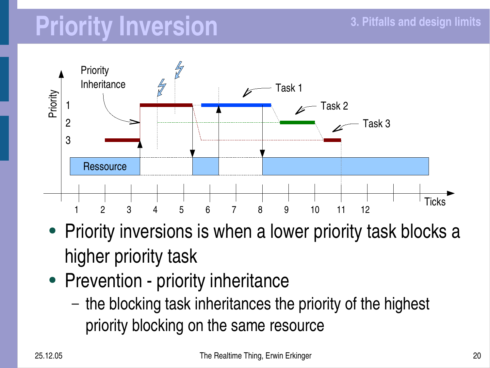## **Priority Inversion**



- Priority inversions is when a lower priority task blocks a higher priority task
- Prevention priority inheritance
	- the blocking task inheritances the priority of the highest priority blocking on the same resource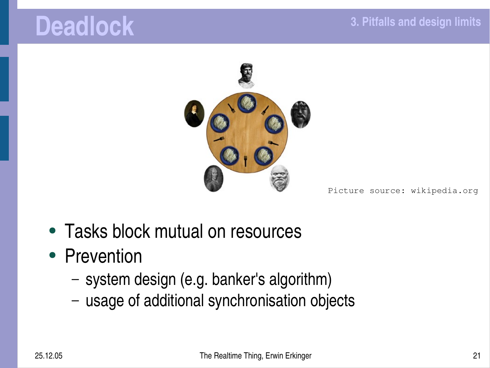#### **Deadlock**



#### Picture source: wikipedia.org

- Tasks block mutual on resources
- Prevention
	- system design (e.g. banker's algorithm)
	- usage of additional synchronisation objects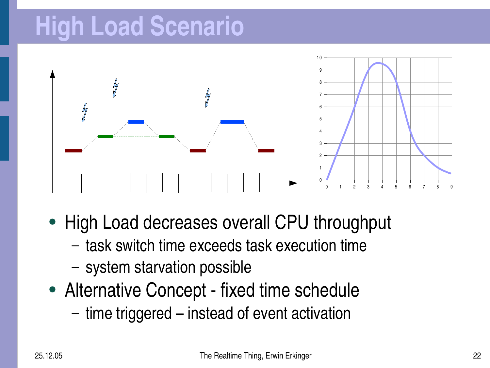## **High Load Scenario**



- High Load decreases overall CPU throughput
	- task switch time exceeds task execution time
	- system starvation possible
- Alternative Concept fixed time schedule
	- time triggered instead of event activation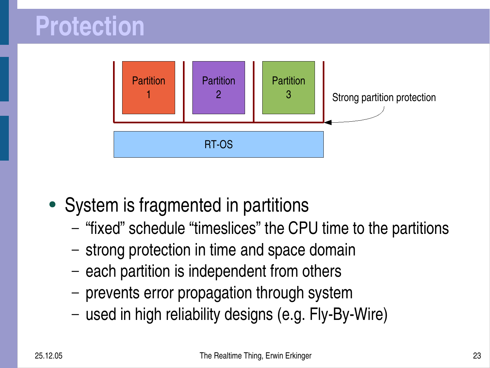

- System is fragmented in partitions
	- "fixed" schedule "timeslices" the CPU time to the partitions
	- strong protection in time and space domain
	- each partition is independent from others
	- prevents error propagation through system
	- $-$  used in high reliability designs (e.g. Fly-By-Wire)